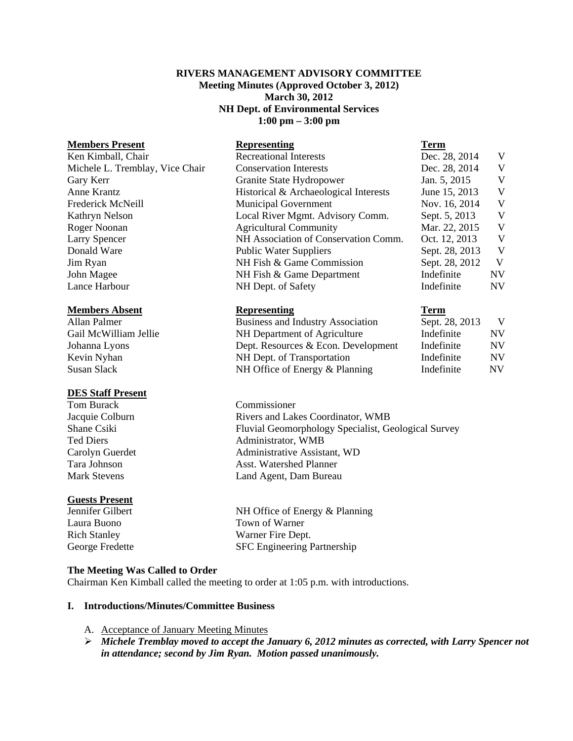### **RIVERS MANAGEMENT ADVISORY COMMITTEE Meeting Minutes (Approved October 3, 2012) March 30, 2012 NH Dept. of Environmental Services 1:00 pm – 3:00 pm**

# **Members Present Representing Term** Ken Kimball, Chair Recreational Interests Dec. 28, 2014 V Michele L. Tremblay, Vice Chair Conservation Interests Dec. 28, 2014 V Gary Kerr Granite State Hydropower Jan. 5, 2015 V Anne Krantz **Historical & Archaeological Interests** June 15, 2013 V Frederick McNeill **Municipal Government** Nov. 16, 2014 V Kathryn Nelson Local River Mgmt. Advisory Comm. Sept. 5, 2013 V Roger Noonan **Agricultural Community** Mar. 22, 2015 V Larry Spencer NH Association of Conservation Comm. Oct. 12, 2013 V Donald Ware Public Water Suppliers Sept. 28, 2013 V Jim Ryan NH Fish & Game Commission Sept. 28, 2012 V John Magee NH Fish & Game Department Indefinite NV Lance Harbour NH Dept. of Safety Indefinite NV **Members Absent Representing Term** Allan Palmer **Business and Industry Association** Sept. 28, 2013 V

### **DES Staff Present**

Tom Burack Commissioner Jacquie Colburn Rivers and Lakes Coordinator, WMB

# **Guests Present**

Shane Csiki Fluvial Geomorphology Specialist, Geological Survey Ted Diers **Administrator**, WMB

Jennifer Gilbert NH Office of Energy & Planning

# **The Meeting Was Called to Order**

Chairman Ken Kimball called the meeting to order at 1:05 p.m. with introductions.

### **I. Introductions/Minutes/Committee Business**

- A. Acceptance of January Meeting Minutes
- ¾ *Michele Tremblay moved to accept the January 6, 2012 minutes as corrected, with Larry Spencer not in attendance; second by Jim Ryan. Motion passed unanimously.*

Gail McWilliam Jellie **NH Department of Agriculture** Indefinite NV Johanna Lyons Dept. Resources & Econ. Development Indefinite NV Kevin Nyhan NH Dept. of Transportation Indefinite NV Susan Slack **NH Office of Energy & Planning Indefinite** NV

Carolyn Guerdet Administrative Assistant, WD Tara Johnson **Asst. Watershed Planner** Mark Stevens Land Agent, Dam Bureau

Laura Buono Town of Warner Rich Stanley Warner Fire Dept. George Fredette SFC Engineering Partnership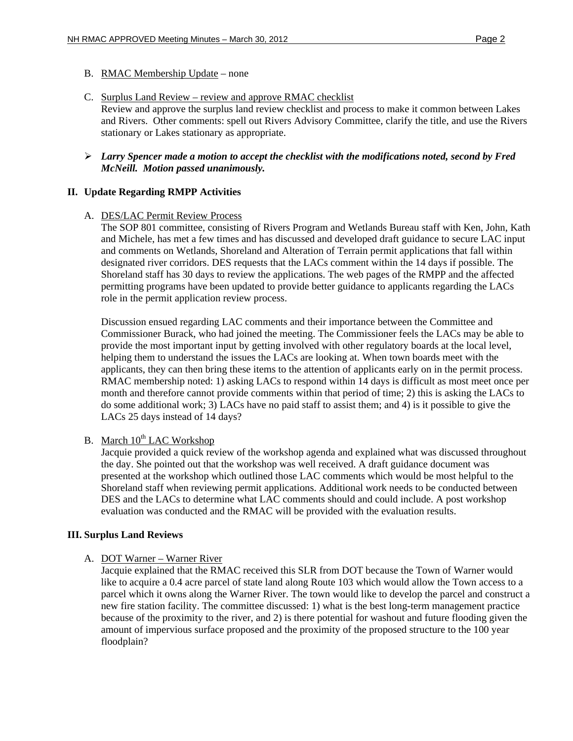## B. RMAC Membership Update – none

- C. Surplus Land Review review and approve RMAC checklist Review and approve the surplus land review checklist and process to make it common between Lakes and Rivers. Other comments: spell out Rivers Advisory Committee, clarify the title, and use the Rivers stationary or Lakes stationary as appropriate.
- ¾ *Larry Spencer made a motion to accept the checklist with the modifications noted, second by Fred McNeill. Motion passed unanimously.*

## **II. Update Regarding RMPP Activities**

## A. DES/LAC Permit Review Process

The SOP 801 committee, consisting of Rivers Program and Wetlands Bureau staff with Ken, John, Kath and Michele, has met a few times and has discussed and developed draft guidance to secure LAC input and comments on Wetlands, Shoreland and Alteration of Terrain permit applications that fall within designated river corridors. DES requests that the LACs comment within the 14 days if possible. The Shoreland staff has 30 days to review the applications. The web pages of the RMPP and the affected permitting programs have been updated to provide better guidance to applicants regarding the LACs role in the permit application review process.

Discussion ensued regarding LAC comments and their importance between the Committee and Commissioner Burack, who had joined the meeting. The Commissioner feels the LACs may be able to provide the most important input by getting involved with other regulatory boards at the local level, helping them to understand the issues the LACs are looking at. When town boards meet with the applicants, they can then bring these items to the attention of applicants early on in the permit process. RMAC membership noted: 1) asking LACs to respond within 14 days is difficult as most meet once per month and therefore cannot provide comments within that period of time; 2) this is asking the LACs to do some additional work; 3) LACs have no paid staff to assist them; and 4) is it possible to give the LACs 25 days instead of 14 days?

## B. March  $10^{th}$  LAC Workshop

Jacquie provided a quick review of the workshop agenda and explained what was discussed throughout the day. She pointed out that the workshop was well received. A draft guidance document was presented at the workshop which outlined those LAC comments which would be most helpful to the Shoreland staff when reviewing permit applications. Additional work needs to be conducted between DES and the LACs to determine what LAC comments should and could include. A post workshop evaluation was conducted and the RMAC will be provided with the evaluation results.

### **III. Surplus Land Reviews**

# A. DOT Warner – Warner River

Jacquie explained that the RMAC received this SLR from DOT because the Town of Warner would like to acquire a 0.4 acre parcel of state land along Route 103 which would allow the Town access to a parcel which it owns along the Warner River. The town would like to develop the parcel and construct a new fire station facility. The committee discussed: 1) what is the best long-term management practice because of the proximity to the river, and 2) is there potential for washout and future flooding given the amount of impervious surface proposed and the proximity of the proposed structure to the 100 year floodplain?